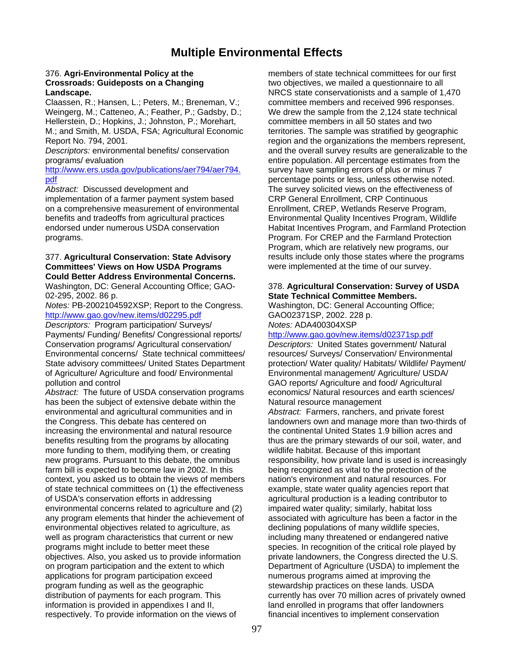## **Multiple Environmental Effects**

Weingerg, M.; Catteneo, A.; Feather, P.; Gadsby, D.; We drew the sample from the 2,124 state technical Hellerstein, D.; Hopkins, J.; Johnston, P.; Morehart, examplement the members in all 50 states and two M.; and Smith, M. USDA, FSA; Agricultural Economic territories. The sample was stratified by geographic Report No. 794, 2001. **Report No. 794, 2001.** *region and the organizations the members represent,* 

[http://www.ers.usda.gov/publications/aer794/aer794.](http://www.ers.usda.gov/publications/aer794/aer794.pdf) survey have sampling errors of plus or minus 7 [pdf](http://www.ers.usda.gov/publications/aer794/aer794.pdf) percentage points or less, unless otherwise noted.

implementation of a farmer payment system based on a comprehensive measurement of environmental Enrollment, CREP, Wetlands Reserve Program, benefits and tradeoffs from agricultural practices Environmental Quality Incentives Program, Wildlife<br>
endorsed under numerous USDA conservation<br>
Habitat Incentives Program, and Farmland Protection programs. Program. For CREP and the Farmland Protection

## **Committees' Views on How USDA Programs** were implemented at the time of our survey. **Could Better Address Environmental Concerns.** Washington, DC: General Accounting Office; GAO- 378. **Agricultural Conservation: Survey of USDA**

*Notes:* PB-2002104592XSP; Report to the Congress. Washington, DC: General Accounting Office; <http://www.gao.gov/new.items/d02295.pdf> GAO02371SP, 2002. 228 p.

*Descriptors:* Program participation/ Surveys/ *Notes:* ADA400304XSP Payments/ Funding/ Benefits/ Congressional reports/ <http://www.gao.gov/new.items/d02371sp.pdf> Conservation programs/ Agricultural conservation/ *Descriptors:* United States government/ Natural Environmental concerns/ State technical committees/ resources/ Surveys/ Conservation/ Environmental State advisory committees/ United States Department protection/ Water quality/ Habitats/ Wildlife/ Payment/ of Agriculture/ Agriculture and food/ Environmental Environmental management/ Agriculture/ USDA/ pollution and control GAO reports/ Agriculture and food/ Agricultural

has been the subject of extensive debate within the Natural resource management environmental and agricultural communities and in *Abstract:* Farmers, ranchers, and private forest the Congress. This debate has centered on landowners own and manage more than two-thirds of increasing the environmental and natural resource the continental United States 1.9 billion acres and benefits resulting from the programs by allocating thus are the primary stewards of our soil, water, and more funding to them, modifying them, or creating wildlife habitat. Because of this important more funding to them, modifying them, or creating new programs. Pursuant to this debate, the omnibus responsibility, how private land is used is increasingly farm bill is expected to become law in 2002. In this being recognized as vital to the protection of the context, you asked us to obtain the views of members nation's environment and natural resources. For of state technical committees on (1) the effectiveness example, state water quality agencies report that of USDA's conservation efforts in addressing agricultural production is a leading contributor to environmental concerns related to agriculture and (2) impaired water quality; similarly, habitat loss any program elements that hinder the achievement of associated with agriculture has been a factor in the environmental objectives related to agriculture, as declining populations of many wildlife species, well as program characteristics that current or new including many threatened or endangered native programs might include to better meet these species. In recognition of the critical role played by objectives. Also, you asked us to provide information private landowners, the Congress directed the U.S. on program participation and the extent to which Department of Agriculture (USDA) to implement the applications for program participation exceed numerous programs aimed at improving the program funding as well as the geographic<br>distribution of payments for each program. This<br>currently has over 70 million acres of privately information is provided in appendixes I and II, land enrolled in programs that offer landowners respectively. To provide information on the views of financial incentives to implement conservation

376. **Agri-Environmental Policy at the** members of state technical committees for our first **Crossroads: Guideposts on a Changing The Changing Crossroads: Guideposts on a Changing The Changing Crossroads Landscape.** NRCS state conservationists and a sample of 1,470 Claassen, R.; Hansen, L.; Peters, M.; Breneman, V.; committee members and received 996 responses. *Descriptors:* environmental benefits/ conservation and the overall survey results are generalizable to the programs/ evaluation entire population. All percentage estimates from the Abstract: Discussed development and The survey solicited views on the effectiveness of<br>
implementation of a farmer payment system based CRP General Enrollment, CRP Continuous Habitat Incentives Program, and Farmland Protection Program, which are relatively new programs, our 377. **Agricultural Conservation: State Advisory** results include only those states where the programs

# 02-295, 2002. 86 p. **State Technical Committee Members.**

*Abstract:* The future of USDA conservation programs economics/ Natural resources and earth sciences/

currently has over 70 million acres of privately owned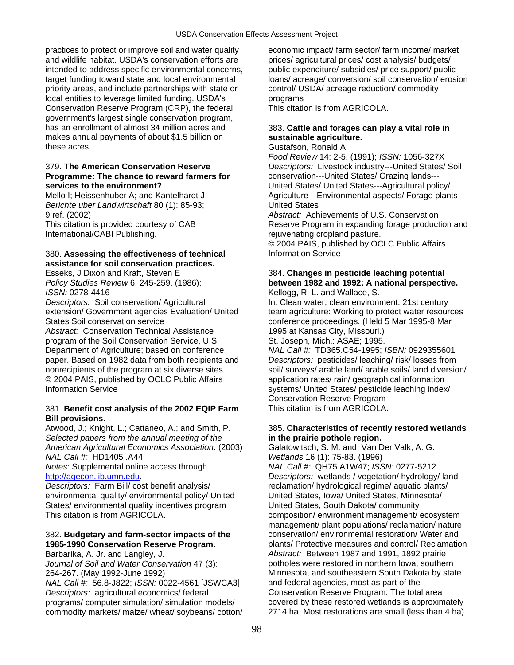practices to protect or improve soil and water quality economic impact/ farm sector/ farm income/ market and wildlife habitat. USDA's conservation efforts are prices/ agricultural prices/ cost analysis/ budgets/ intended to address specific environmental concerns, public expenditure/ subsidies/ price support/ public priority areas, and include partnerships with state or control/ USDA/ acreage reduction/ commodity local entities to leverage limited funding. USDA's programs Conservation Reserve Program (CRP), the federal This citation is from AGRICOLA. government's largest single conservation program, has an enrollment of almost 34 million acres and 383. Cattle and forages can play a vital role in makes annual payments of about \$1.5 billion on **sustainable agriculture.** these acres. The contract of the contract of the contract of the contract of the contract of the contract of the contract of the contract of the contract of the contract of the contract of the contract of the contract of t

## **Programme: The chance to reward farmers for** conservation---United States/ Grazing lands--**services to the environment?** United States/ United States---Agricultural policy/

*Berichte uber Landwirtschaft* 80 (1): 85-93; United States

International/CABI Publishing. The contractional contractional pasture.

## 380. **Assessing the effectiveness of technical** Information Service **assistance for soil conservation practices.**

*ISSN:* 0278-4416 Kellogg, R. L. and Wallace, S.

*Descriptors:* Soil conservation/ Agricultural In: Clean water, clean environment: 21st century States Soil conservation service conference proceedings. (Held 5 Mar 1995-8 Mar *Abstract:* Conservation Technical Assistance 1995 at Kansas City, Missouri.) program of the Soil Conservation Service, U.S. St. Joseph, Mich.: ASAE; 1995. Department of Agriculture; based on conference *NAL Call #:* TD365.C54-1995; *ISBN:* 0929355601 paper. Based on 1982 data from both recipients and *Descriptors:* pesticides/ leaching/ risk/ losses from

# Information Service systems/ United States/ pesticide leaching index/

## 381. **Benefit cost analysis of the 2002 EQIP Farm** This citation is from AGRICOLA. **Bill provisions.**

*Selected papers from the annual meeting of the* **in the prairie pothole region.**  *American Agricultural Economics Association*. (2003) Galatowitsch, S. M. and Van Der Valk, A. G. *NAL Call #:* HD1405 .A44. *Wetlands* 16 (1): 75-83. (1996)

*Descriptors:* Farm Bill/ cost benefit analysis/ reclamation/ hydrological regime/ aquatic plants/ environmental quality/ environmental policy/ United United States, Iowa/ United States, Minnesota/ States/ environmental quality incentives program United States, South Dakota/ community

*NAL Call #:* 56.8-J822; *ISSN:* 0022-4561 [JSWCA3] and federal agencies, most as part of the *Descriptors:* agricultural economics/ federal **Conservation Reserve Program.** The total area<br>
programs/ computer simulation/ simulation models/ covered by these restored wetlands is approximately programs/ computer simulation/ simulation models/ commodity markets/ maize/ wheat/ soybeans/ cotton/ 2714 ha. Most restorations are small (less than 4 ha)

target funding toward state and local environmental loans/ acreage/ conversion/ soil conservation/ erosion

*Food Review* 14: 2-5. (1991); *ISSN:* 1056-327X 379. **The American Conservation Reserve** *Descriptors:* Livestock industry---United States/ Soil Mello I; Heissenhuber A; and Kantelhardt J Agriculture---Environmental aspects/ Forage plants---

9 ref. (2002) *Abstract:* Achievements of U.S. Conservation This citation is provided courtesy of CAB Reserve Program in expanding forage production and © 2004 PAIS, published by OCLC Public Affairs

## Esseks, J Dixon and Kraft, Steven E 384. **Changes in pesticide leaching potential** 384. **Changes in pesticide leaching potential Policy Studies Review 6: 245-259.** (1986); *Policy Studies Review* 6: 245-259. (1986); **between 1982 and 1992: A national perspective.**

extension/ Government agencies Evaluation/ United team agriculture: Working to protect water resources

nonrecipients of the program at six diverse sites. soil/ surveys/ arable land/ arable soils/ land diversion/ © 2004 PAIS, published by OCLC Public Affairs application rates/ rain/ geographical information Conservation Reserve Program

# Atwood, J.; Knight, L.; Cattaneo, A.; and Smith, P. 385. **Characteristics of recently restored wetlands**

*Notes:* Supplemental online access through *NAL Call #:* QH75.A1W47; *ISSN:* 0277-5212 [http://agecon.lib.umn.edu](http://agecon.lib.umn.edu/). *Descriptors:* wetlands / vegetation/ hydrology/ land This citation is from AGRICOLA. Composition/ environment management/ ecosystem management/ plant populations/ reclamation/ nature 382. **Budgetary and farm-sector impacts of the** conservation/ environmental restoration/ Water and **1985-1990 Conservation Reserve Program.** plants/ Protective measures and control/ Reclamation Barbarika, A. Jr. and Langley, J. *Abstract:* Between 1987 and 1991, 1892 prairie *Journal of Soil and Water Conservation* 47 (3): potholes were restored in northern Iowa, southern 264-267. (May 1992-June 1992) Minnesota, and southeastern South Dakota by state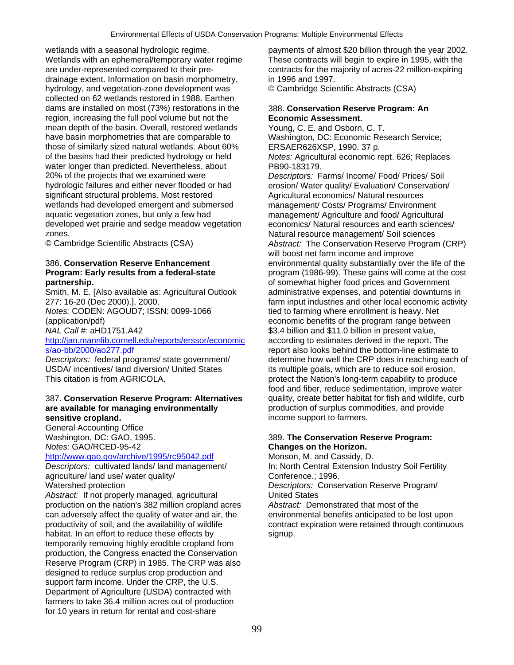Wetlands with an ephemeral/temporary water regime<br>are under-represented compared to their pre-<br>contracts for the majority of acres-22 million-expiring drainage extent. Information on basin morphometry, in 1996 and 1997. hydrology, and vegetation-zone development was © Cambridge Scientific Abstracts (CSA) collected on 62 wetlands restored in 1988. Earthen dams are installed on most (73%) restorations in the 388. **Conservation Reserve Program: An**  region, increasing the full pool volume but not the **Economic Assessment.**  mean depth of the basin. Overall, restored wetlands Young, C. E. and Osborn, C. T. have basin morphometries that are comparable to Washington, DC: Economic Research Service; those of similarly sized natural wetlands. About 60% ERSAER626XSP, 1990. 37 p. of the basins had their predicted hydrology or held *Notes:* Agricultural economic rept. 626; Replaces water longer than predicted. Nevertheless, about PB90-183179. 20% of the projects that we examined were *Descriptors:* Farms/ Income/ Food/ Prices/ Soil hydrologic failures and either never flooded or had erosion/ Water quality/ Evaluation/ Conservation/ significant structural problems. Most restored Agricultural economics/ Natural resources wetlands had developed emergent and submersed management/ Costs/ Programs/ Environment aquatic vegetation zones, but only a few had management/ Agriculture and food/ Agricultural developed wet prairie and sedge meadow vegetation economics/ Natural resources and earth sciences/ zones. Natural resource management/ Soil sciences

Smith, M. E. [Also available as: Agricultural Outlook administrative expenses, and potential downturns in *Notes: CODEN: AGOUD7; ISSN: 0099-1066* tied to farming where enrollment is heavy. Net (application/pdf) economic benefits of the program range between *NAL Call #:* aHD1751.A42 \$3.4 billion and \$11.0 billion in present value, [http://jan.mannlib.cornell.edu/reports/erssor/economic](http://jan.mannlib.cornell.edu/reports/erssor/economics/ao-bb/2000/ao277.pdf) according to estimates derived in the report. The

## 387. **Conservation Reserve Program: Alternatives** quality, create better habitat for fish and wildlife, curb **are available for managing environmentally production of surplus commodities, and provide sensitive cropland. income support to farmers. income support to farmers.**

General Accounting Office *Notes:* GAO/RCED-95-42 **Changes on the Horizon.**

agriculture/ land use/ water quality/ example to the Conference.; 1996.

Abstract: If not properly managed, agricultural United States production on the nation's 382 million cropland acres *Abstract:* Demonstrated that most of the can adversely affect the quality of water and air, the environmental benefits anticipated to be lost upon productivity of soil, and the availability of wildlife contract expiration were retained through continuous habitat. In an effort to reduce these effects by signup. temporarily removing highly erodible cropland from production, the Congress enacted the Conservation Reserve Program (CRP) in 1985. The CRP was also designed to reduce surplus crop production and support farm income. Under the CRP, the U.S. Department of Agriculture (USDA) contracted with farmers to take 36.4 million acres out of production for 10 years in return for rental and cost-share

wetlands with a seasonal hydrologic regime. payments of almost \$20 billion through the year 2002. contracts for the majority of acres-22 million-expiring

© Cambridge Scientific Abstracts (CSA) *Abstract:* The Conservation Reserve Program (CRP) will boost net farm income and improve 386. **Conservation Reserve Enhancement** environmental quality substantially over the life of the **Program: Early results from a federal-state program (1986-99). These gains will come at the cost partnership. partnership. of somewhat higher food prices and Government** 277: 16-20 (Dec 2000).], 2000. farm input industries and other local economic activity [s/ao-bb/2000/ao277.pdf](http://jan.mannlib.cornell.edu/reports/erssor/economics/ao-bb/2000/ao277.pdf) report also looks behind the bottom-line estimate to *Descriptors:* federal programs/ state government/ determine how well the CRP does in reaching each of USDA/ incentives/ land diversion/ United States its multiple goals, which are to reduce soil erosion, USDA/ incentives/ land diversion/ United States its multiple goals, which are to reduce soil erosion,<br>This citation is from AGRICOLA.<br>protect the Nation's long-term capability to produce protect the Nation's long-term capability to produce food and fiber, reduce sedimentation, improve water

# Washington, DC: GAO, 1995. 389. **The Conservation Reserve Program:**

<http://www.gao.gov/archive/1995/rc95042.pdf> Monson, M. and Cassidy, D.<br>
Descriptors: cultivated lands/ land management/ In: North Central Extension li **In: North Central Extension Industry Soil Fertility** Watershed protection *Descriptors:* Conservation Reserve Program/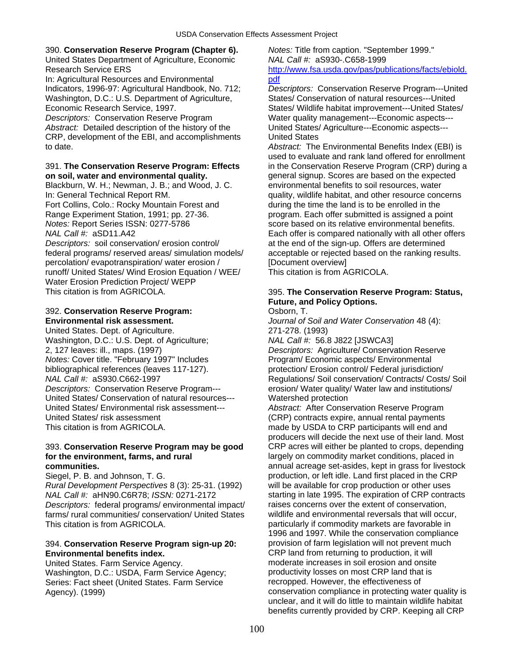## 390. **Conservation Reserve Program (Chapter 6).** *Notes:* Title from caption. "September 1999."

United States Department of Agriculture, Economic *NAL Call #:* aS930-.C658-1999

In: Agricultural Resources and Environmental [pdf](http://www.fsa.usda.gov/pas/publications/facts/ebiold.pdf) Washington, D.C.: U.S. Department of Agriculture, States/ Conservation of natural resources---United

*Descriptors:* Conservation Reserve Program Water quality management---Economic aspects--- *Abstract:* Detailed description of the history of the United States/ Agriculture---Economic aspects--- CRP, development of the EBI, and accomplishments United States to date. *Abstract:* The Environmental Benefits Index (EBI) is

## **on soil, water and environmental quality. general signup. Scores are based on the expected**

Blackburn, W. H.; Newman, J. B.; and Wood, J. C. environmental benefits to soil resources, water Fort Collins, Colo.: Rocky Mountain Forest and during the time the land is to be enrolled in the

federal programs/ reserved areas/ simulation models/ acceptable or rejected based on the ranking results. percolation/ evapotranspiration/ water erosion / [Document overview] runoff/ United States/ Wind Erosion Equation / WEE/ This citation is from AGRICOLA. Water Erosion Prediction Project/ WEPP This citation is from AGRICOLA. 395. **The Conservation Reserve Program: Status,** 

## 392. **Conservation Reserve Program:** Osborn, T.

United States. Dept. of Agriculture. 271-278. (1993) Washington, D.C.: U.S. Dept. of Agriculture; *NAL Call #:* 56.8 J822 [JSWCA3] 2, 127 leaves: ill., maps. (1997) *Descriptors:* Agriculture/ Conservation Reserve *Notes:* Cover title. "February 1997" Includes Program/ Economic aspects/ Environmental<br>bibliographical references (leaves 117-127). protection/ Erosion control/ Federal jurisdiction *Descriptors:* Conservation Reserve Program--- erosion/ Water quality/ Water law and institutions/ United States/ Conservation of natural resources--- Watershed protection United States/ Environmental risk assessment--- *Abstract:* After Conservation Reserve Program United States/ risk assessment (CRP) contracts expire, annual rental payments This citation is from AGRICOLA. This citation is from AGRICOLA. This citation is from AGRICOLA.

## 393. **Conservation Reserve Program may be good** CRP acres will either be planted to crops, depending **for the environment, farms, and rural <b>interprentice** largely on commodity market conditions, placed in

*Rural Development Perspectives* 8 (3): 25-31. (1992) will be available for crop production or other uses *NAL Call #:* aHN90.C6R78; *ISSN:* 0271-2172 starting in late 1995. The expiration of CRP contracts *Descriptors:* federal programs/ environmental impact/ raises concerns over the extent of conservation, farms/ rural communities/ conservation/ United States wildlife and environmental reversals that will occur, This citation is from AGRICOLA. **particularly if commodity markets are favorable in** 

## 394. **Conservation Reserve Program sign-up 20:** provision of farm legislation will not prevent much **Environmental benefits index. CRP** land from returning to production, it will

Washington, D.C.: USDA, Farm Service Agency; exampled that productivity losses on most CRP land that Series: Fact sheet (United States, Farm Service example recropped. However, the effectiveness of Series: Fact sheet (United States. Farm Service

Research Service ERS [http://www.fsa.usda.gov/pas/publications/facts/ebiold.](http://www.fsa.usda.gov/pas/publications/facts/ebiold.pdf)

Indicators, 1996-97: Agricultural Handbook, No. 712; *Descriptors:* Conservation Reserve Program---United Economic Research Service, 1997. Subsetted States/ Wildlife habitat improvement---United States/

used to evaluate and rank land offered for enrollment 391. **The Conservation Reserve Program: Effects** in the Conservation Reserve Program (CRP) during a In: General Technical Report RM. **All intervals and intervals and other resource concerns** Range Experiment Station, 1991; pp. 27-36. program. Each offer submitted is assigned a point *Notes:* Report Series ISSN: 0277-5786 score based on its relative environmental benefits. *NAL Call #:* aSD11.A42 Each offer is compared nationally with all other offers *Descriptors:* soil conservation/ erosion control/ at the end of the sign-up. Offers are determined

# **Future, and Policy Options.**

**Environmental risk assessment.** *Journal of Soil and Water Conservation* 48 (4):

protection/ Erosion control/ Federal jurisdiction/ *NAL Call #:* aS930.C662-1997 **Regulations/ Soil conservation/ Contracts/ Costs/ Soil** Contracts/ Costs/ Soil

producers will decide the next use of their land. Most **communities.**<br>
Siegel, P. B. and Johnson, T. G. **and Siegel, P. B. and Johnson, T. G. and Siegel** annual acreage set-asides, kept in grass for livestock production, or left idle. Land first placed in the CRP production, or left idle. Land first placed in the CRP 1996 and 1997. While the conservation compliance United States. Farm Service Agency.<br>
Washington, D.C.: USDA, Farm Service Agency: productivity losses on most CRP land that is Agency). (1999) Agency). (1999) Conservation compliance in protecting water quality is unclear, and it will do little to maintain wildlife habitat benefits currently provided by CRP. Keeping all CRP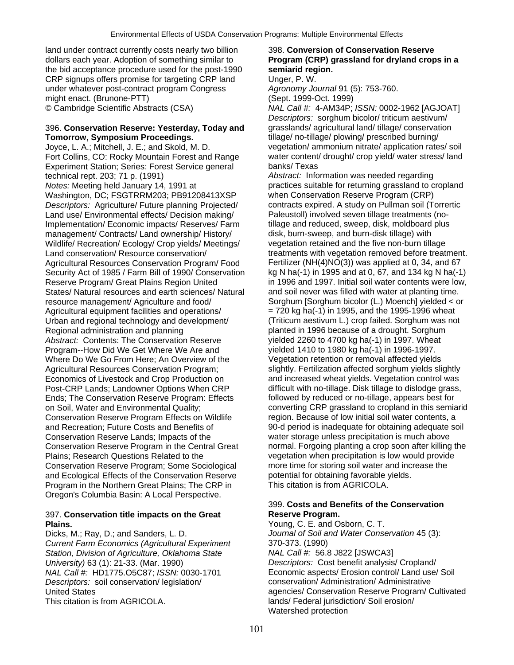land under contract currently costs nearly two billion 398. **Conversion of Conservation Reserve**  dollars each year. Adoption of something similar to **Program (CRP) grassland for dryland crops in a**  the bid acceptance procedure used for the post-1990 **semiarid region.**  CRP signups offers promise for targeting CRP land Unger, P. W. under whatever post-contract program Congress *Agronomy Journal* 91 (5): 753-760. might enact. (Brunone-PTT) (Sept. 1999-Oct. 1999)

## 396. **Conservation Reserve: Yesterday, Today and** grasslands/ agricultural land/ tillage/ conservation **Tomorrow, Symposium Proceedings.** tillage/ no-tillage/ plowing/ prescribed burning/

Joyce, L. A.; Mitchell, J. E.; and Skold, M. D. vegetation/ ammonium nitrate/ application rates/ soil Fort Collins, CO: Rocky Mountain Forest and Range water content/ drought/ crop yield/ water stress/ land<br>Experiment Station: Series: Forest Service general banks/ Texas Experiment Station; Series: Forest Service general technical rept. 203; 71 p. (1991) *Abstract:* Information was needed regarding *Notes:* Meeting held January 14, 1991 at practices suitable for returning grassland to cropland<br>Washington, DC: FSGTRRM203: PB91208413XSP when Conservation Reserve Program (CRP) Washington, DC; FSGTRRM203; PB91208413XSP *Descriptors:* Agriculture/ Future planning Projected/ contracts expired. A study on Pullman soil (Torrertic Land use/ Environmental effects/ Decision making/ Paleustoll) involved seven tillage treatments (no-Implementation/ Economic impacts/ Reserves/ Farm tillage and reduced, sweep, disk, moldboard plus management/ Contracts/ Land ownership/ History/ disk, burn-sweep, and burn-disk tillage) with Wildlife/ Recreation/ Ecology/ Crop yields/ Meetings/ vegetation retained and the five non-burn tillage Agricultural Resources Conservation Program/ Food Security Act of 1985 / Farm Bill of 1990/ Conservation kg N ha(-1) in 1995 and at 0, 67, and 134 kg N ha(-1) States/ Natural resources and earth sciences/ Natural and soil never was filled with water at planting time. resource management/ Agriculture and food/ Sorghum [Sorghum bicolor (L.) Moench] yielded < or Agricultural equipment facilities and operations/ $= 720$  kg ha(-1) in 1995, and the 1995-1996 wheat Urban and regional technology and development/ (Triticum aestivum L.) crop failed. Sorghum was not Regional administration and planning planted in 1996 because of a drought. Sorghum<br>Abstract: Contents: The Conservation Reserve yielded 2260 to 4700 kg ha(-1) in 1997. Wheat *Abstract:* Contents: The Conservation Reserve Program--How Did We Get Where We Are and yielded 1410 to 1980 kg ha(-1) in 1996-1997. Where Do We Go From Here; An Overview of the Vegetation retention or removal affected yields Agricultural Resources Conservation Program; slightly. Fertilization affected sorghum yields slightly Economics of Livestock and Crop Production on and increased wheat yields. Vegetation control was Post-CRP Lands; Landowner Options When CRP difficult with no-tillage. Disk tillage to dislodge grass,<br>Ends; The Conservation Reserve Program: Effects followed by reduced or no-tillage, appears best for Ends; The Conservation Reserve Program: Effects Conservation Reserve Program Effects on Wildlife region. Because of low initial soil water contents, a and Recreation; Future Costs and Benefits of 90-d period is inadequate for obtaining adequate soil Conservation Reserve Lands; Impacts of the water storage unless precipitation is much above Plains; Research Questions Related to the vegetation when precipitation is low would provide Conservation Reserve Program; Some Sociological more time for storing soil water and increase the and Ecological Effects of the Conservation Reserve potential for obtaining favorable yields.<br>Program in the Northern Great Plains: The CRP in This citation is from AGRICOLA. Program in the Northern Great Plains; The CRP in Oregon's Columbia Basin: A Local Perspective.

# 397. **Conservation title impacts on the Great** Reserve Program.<br>**Plains.** Young, C. E. and O

Dicks, M.; Ray, D.; and Sanders, L. D. *Journal of Soil and Water Conservation* 45 (3): *Current Farm Economics (Agricultural Experiment* 370-373. (1990) Station, Division of Agriculture, Oklahoma State *University)* 63 (1): 21-33. (Mar. 1990) *Descriptors:* Cost benefit analysis/ Cropland/ *Descriptors:* soil conservation/ legislation/ This citation is from AGRICOLA. lands/ Federal jurisdiction/ Soil erosion/

© Cambridge Scientific Abstracts (CSA) *NAL Call #:* 4-AM34P; *ISSN:* 0002-1962 [AGJOAT] *Descriptors:* sorghum bicolor/ triticum aestivum/

Land conservation/ Resource conservation/ examents with vegetation removed before treatment.<br>Agricultural Resources Conservation Program/ Food Fertilizer (NH(4)NO(3)) was applied at 0, 34, and 67 Reserve Program/ Great Plains Region United in 1996 and 1997. Initial soil water contents were low, on Soil, Water and Environmental Quality; converting CRP grassland to cropland in this semiarid Conservation Reserve Program in the Central Great normal. Forgoing planting a crop soon after killing the

# 399. **Costs and Benefits of the Conservation**

**Plains.** Young, C. E. and Osborn, C. T. *NAL Call #:* HD1775.O5C87; *ISSN:* 0030-1701 Economic aspects/ Erosion control/ Land use/ Soil<br> *Descriptors:* soil conservation/ legislation/ <br>
conservation/ Administration/ Administrative United States agencies/ Conservation Reserve Program/ Cultivated Watershed protection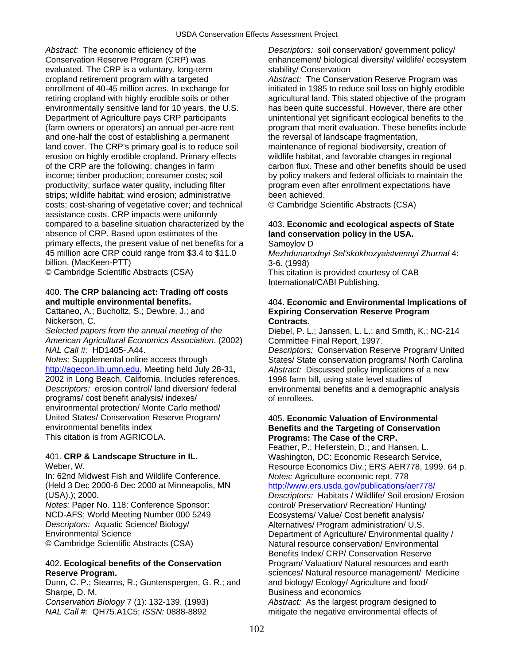*Abstract:* The economic efficiency of the *Descriptors:* soil conservation/ government policy/ Conservation Reserve Program (CRP) was enhancement/ biological diversity/ wildlife/ ecosystem evaluated. The CRP is a voluntary, long-term stability/ Conservation cropland retirement program with a targeted *Abstract:* The Conservation Reserve Program was enrollment of 40-45 million acres. In exchange for initiated in 1985 to reduce soil loss on highly erodible retiring cropland with highly erodible soils or other agricultural land. This stated objective of the program environmentally sensitive land for 10 years, the U.S. has been quite successful. However, there are other Department of Agriculture pays CRP participants unintentional yet significant ecological benefits to the and one-half the cost of establishing a permanent the reversal of landscape fragmentation, land cover. The CRP's primary goal is to reduce soil maintenance of regional biodiversity, creation of erosion on highly erodible cropland. Primary effects wildlife habitat, and favorable changes in regional income; timber production; consumer costs; soil by policy makers and federal officials to maintain the productivity; surface water quality, including filter program even after enrollment expectations have strips; wildlife habitat; wind erosion; administrative been achieved. costs; cost-sharing of vegetative cover; and technical © Cambridge Scientific Abstracts (CSA) assistance costs. CRP impacts were uniformly compared to a baseline situation characterized by the 403. **Economic and ecological aspects of State**  absence of CRP. Based upon estimates of the **land conservation policy in the USA.**  primary effects, the present value of net benefits for a Samoylov D 45 million acre CRP could range from \$3.4 to \$11.0 *Mezhdunarodnyi Sel'skokhozyaistvennyi Zhurnal* 4: billion. (MacKeen-PTT) 3-6. (1998)

© Cambridge Scientific Abstracts (CSA) This citation is provided courtesy of CAB

# 400. **The CRP balancing act: Trading off costs**

Nickerson, C. **Contracts. Contracts.** 

*Selected papers from the annual meeting of the* Diebel, P. L.; Janssen, L. L.; and Smith, K.; NC-214 *American Agricultural Economics Association*. (2002) Committee Final Report, 1997.

[http://agecon.lib.umn.edu](http://agecon.lib.umn.edu/). Meeting held July 28-31, *Abstract:* Discussed policy implications of a new 2002 in Long Beach, California. Includes references. 1996 farm bill, using state level studies of *Descriptors:* erosion control/ land diversion/ federal environmental benefits and a demographic analysis programs/ cost benefit analysis/ indexes/ of enrollees. environmental protection/ Monte Carlo method/ United States/ Conservation Reserve Program/ 405. **Economic Valuation of Environmental**  This citation is from AGRICOLA. **Programs: The Case of the CRP.** 

In: 62nd Midwest Fish and Wildlife Conference.*Notes:* Agriculture economic rept. 778 (Held 3 Dec 2000-6 Dec 2000 at Minneapolis, MN <http://www.ers.usda.gov/publications/aer778/> (USA).); 2000. *Descriptors:* Habitats / Wildlife/ Soil erosion/ Erosion

*Notes:* Paper No. 118; Conference Sponsor: control/ Preservation/ Recreation/ Hunting/ NCD-AFS; World Meeting Number 000 5249 Ecosystems/ Value/ Cost benefit analysis/ *Descriptors:* Aquatic Science/ Biology/ **Alternatives/ Program administration/ U.S.**<br> **Environmental Science Consuments Consumental Consuments Consuments Consumental Consumental Consumental Consumental** 

Dunn, C. P.; Stearns, R.; Guntenspergen, G. R.; and and biology/ Ecology/ Agriculture and food/ Sharpe, D. M. Business and economics and economics *Conservation Biology* 7 (1): 132-139. (1993) *Abstract:* As the largest program designed to

(farm owners or operators) an annual per-acre rent program that merit evaluation. These benefits include of the CRP are the following: changes in farm carbon flux. These and other benefits should be used

International/CABI Publishing.

## **and multiple environmental benefits.** 404. **Economic and Environmental Implications of**  Cattaneo, A.; Bucholtz, S.; Dewbre, J.; and **Expiring Conservation Reserve Program**

**Descriptors: Conservation Reserve Program/ United** *Notes:* Supplemental online access through States/ States Conservation programs/ North Carolina

# **Benefits and the Targeting of Conservation**

Feather, P.; Hellerstein, D.; and Hansen, L. 401. **CRP & Landscape Structure in IL.** Washington, DC: Economic Research Service, Weber, W. **Resource Economics Div.; ERS AER778, 1999. 64 p.** Resource Economics Div.; ERS AER778, 1999. 64 p.

Department of Agriculture/ Environmental quality / © Cambridge Scientific Abstracts (CSA) Natural resource conservation/ Environmental Benefits Index/ CRP/ Conservation Reserve 402. **Ecological benefits of the Conservation** Program/ Valuation/ Natural resources and earth **Reserve Program.** sciences/ Natural resource management/ Medicine

*NAL Call #:* QH75.A1C5; *ISSN:* 0888-8892 mitigate the negative environmental effects of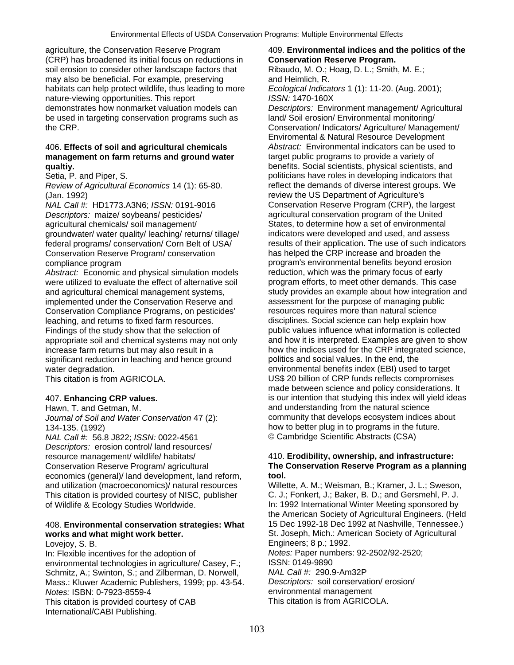agriculture, the Conservation Reserve Program 409. **Environmental indices and the politics of the**  (CRP) has broadened its initial focus on reductions in **Conservation Reserve Program.**  soil erosion to consider other landscape factors that Ribaudo, M. O.; Hoag, D. L.; Smith, M. E.; may also be beneficial. For example, preserving and Heimlich, R. habitats can help protect wildlife, thus leading to more *Ecological Indicators* 1 (1): 11-20. (Aug. 2001); nature-viewing opportunities. This report *ISSN:* 1470-160X demonstrates how nonmarket valuation models can *Descriptors:* Environment management/ Agricultural be used in targeting conservation programs such as land/ Soil erosion/ Environmental monitoring/ the CRP. Conservation/ Indicators/ Agriculture/ Management/

## 406. **Effects of soil and agricultural chemicals** *Abstract:* Environmental indicators can be used to **management on farm returns and ground water** target public programs to provide a variety of **qualtiv. benefits.** Social scientists, physical scientists, and **propertional scientists** and

*Review of Agricultural Economics* 14 (1): 65-80. (Jan. 1992) **review the US Department of Agriculture's** 

*Descriptors:* maize/ soybeans/ pesticides/ **agricultural conservation program of the United**<br> **Conservation** agricultural chemicals/ soil management/ **by the States to determine how a set of environmental** agricultural chemicals/ soil management/ groundwater/ water quality/ leaching/ returns/ tillage/ indicators were developed and used, and assess Conservation Reserve Program/ conservation compliance program program's environmental benefits beyond erosion

were utilized to evaluate the effect of alternative soil implemented under the Conservation Reserve and assessment for the purpose of managing public<br>Conservation Compliance Programs, on pesticides' resources requires more than natural science Conservation Compliance Programs, on pesticides' leaching, and returns to fixed farm resources. disciplines. Social science can help explain how Findings of the study show that the selection of public values influence what information is collected significant reduction in leaching and hence ground politics and social values. In the end, the water degradation. environmental benefits index (EBI) used to target

*Journal of Soil and Water Conservation* 47 (2):

*NAL Call #: 56.8 J822; ISSN: 0022-4561 Descriptors:* erosion control/ land resources/ resource management/ wildlife/ habitats/ 410. **Erodibility, ownership, and infrastructure:**<br>Conservation Reserve Program/ agricultural **The Conservation Reserve Program as a planni** economics (general)/ land development, land reform, **tool.** and utilization (macroeconomics)/ natural resources Willette, A. M.; Weisman, B.; Kramer, J. L.; Sweson, This citation is provided courtesy of NISC, publisher C. J.; Fonkert, J.; Baker, B. D.; and Gersmehl, P. J. This citation is provided courtesy of NISC, publisher of Wildlife & Ecology Studies Worldwide. In: 1992 International Winter Meeting sponsored by

# **works and what might work better. St. Joseph, Mich.: American Society of Agricultural**

In: Flexible incentives for the adoption of *Notes:* Paper numbers: 92-2502/92-2520; environmental technologies in agriculture/ Casey, F.; ISSN: 0149-9890<br>Schmitz, A.: Swinton, S.: and Zilberman, D. Norwell MAL Call #: 290.9-Am32P Schmitz, A.; Swinton, S.; and Zilberman, D. Norwell, **NAL Call #: 290.9-Am32P**<br>Mass.: Kluwer Academic Publishers, 1999; pp. 43-54. Descriptors: soil conservation/erosion/ Mass.: Kluwer Academic Publishers, 1999; pp. 43-54. *Notes:* ISBN: 0-7923-8559-4<br>This citation is provided courtesy of CAB<br>This citation is from AGRICOLA. This citation is provided courtesy of CAB International/CABI Publishing.

Enviromental & Natural Resource Development Setia, P. and Piper, S. both and Piper, S. politicians have roles in developing indicators that<br>Review of Agricultural Economics 14 (1): 65-80. Figure 1: reflect the demands of diverse interest groups. We *NAL Call #:* HD1773.A3N6; *ISSN:* 0191-9016 Conservation Reserve Program (CRP), the largest federal programs/ conservation/ Corn Belt of USA results of their application. The use of such indicators<br>Conservation Reserve Program/ conservation has helped the CRP increase and broaden the Abstract: Economic and physical simulation models reduction, which was the primary focus of early<br>were utilized to evaluate the effect of alternative soil program efforts, to meet other demands. This case and agricultural chemical management systems, study provides an example about how integration and appropriate soil and chemical systems may not only and how it is interpreted. Examples are given to show increase farm returns but may also result in a how the indices used for the CRP integrated science, This citation is from AGRICOLA. US\$ 20 billion of CRP funds reflects compromises made between science and policy considerations. It 407. **Enhancing CRP values.** is our intention that studying this index will yield ideas Hawn, T. and Getman, M.<br>Journal of Soil and Water Conservation 47 (2): Community that develops ecosystem indices about 134-135. (1992)<br>
MAL Call #: 56.8 J822: ISSN: 0022-4561 (Campridge Scientific Abstracts (CSA)

# The Conservation Reserve Program as a planning

the American Society of Agricultural Engineers. (Held 408. **Environmental conservation strategies: What** 15 Dec 1992-18 Dec 1992 at Nashville, Tennessee.) Lovejoy, S. B. Engineers; 8 p.; 1992.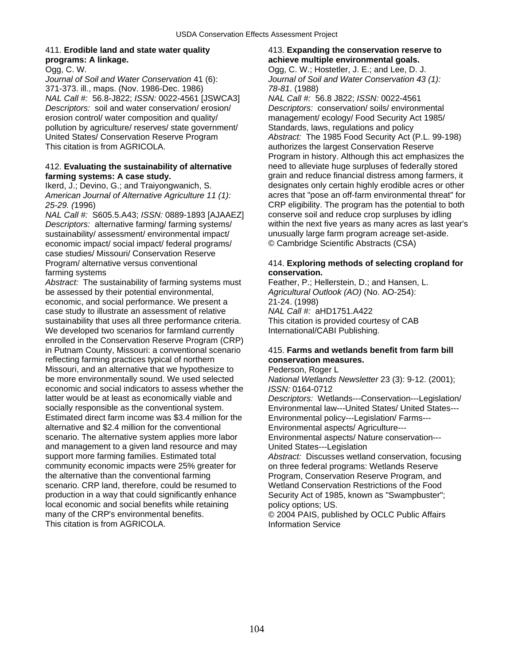# **programs: A linkage. achieve multiple environmental goals. achieve multiple environmental goals.**

*Journal of Soil and Water Conservation* 41 (6): *Journal of Soil and Water Conservation 43 (1):*  371-373. ill., maps. (Nov. 1986-Dec. 1986) *78-81*. (1988) *NAL Call #:* 56.8-J822; *ISSN:* 0022-4561 [JSWCA3] *NAL Call #:* 56.8 J822; *ISSN:* 0022-4561 *Descriptors:* soil and water conservation/ erosion/ *Descriptors:* conservation/ soils/ environmental erosion control/ water composition and quality/ management/ ecology/ Food Security Act 1985/ pollution by agriculture/ reserves/ state government/ Standards, laws, regulations and policy United States/ Conservation Reserve Program *Abstract:* The 1985 Food Security Act (P.L. 99-198) This citation is from AGRICOLA. **Authorizes** the largest Conservation Reserve

sustainability/assessment/environmental impact/ unusually large farm program acreage set-aside. economic impact/ social impact/ federal programs/ © Cambridge Scientific Abstracts (CSA) case studies/ Missouri/ Conservation Reserve<br>Program/ alternative versus conventional farming systems **conservation.** 

Abstract: The sustainability of farming systems must Feather, P.; Hellerstein, D.; and Hansen, L. be assessed by their potential environmental, *Agricultural Outlook (AO)* (No. AO-254): economic, and social performance. We present a 21-24. (1998)<br>
case study to illustrate an assessment of relative MAL Call #: aHD1751.A422 case study to illustrate an assessment of relative sustainability that uses all three performance criteria. This citation is provided courtesy of CAB We developed two scenarios for farmland currently **International/CABI Publishing.** enrolled in the Conservation Reserve Program (CRP) in Putnam County, Missouri: a conventional scenario 415. **Farms and wetlands benefit from farm bill**  reflecting farming practices typical of northern **conservation measures.** Missouri, and an alternative that we hypothesize to Pederson, Roger L<br>be more environmentally sound. We used selected National Wetlands economic and social indicators to assess whether the *ISSN:* 0164-0712 latter would be at least as economically viable and *Descriptors:* Wetlands---Conservation---Legislation/ socially responsible as the conventional system. Environmental law---United States/ United States--- Estimated direct farm income was \$3.4 million for the Environmental policy---Legislation/ Farms-- alternative and \$2.4 million for the conventional Environmental aspects/ Agriculture-- scenario. The alternative system applies more labor Environmental aspects/ Nature conservation-- and management to a given land resource and may United States---Legislation support more farming families. Estimated total *Abstract:* Discusses wetland conservation, focusing<br>
community economic impacts were 25% greater for on three federal programs: Wetlands Reserve community economic impacts were 25% greater for on three federal programs: Wetlands Reserve<br>the alternative than the conventional farming Program, Conservation Reserve Program, and scenario. CRP land, therefore, could be resumed to Wetland Conservation Restrictions of the Food production in a way that could significantly enhance Security Act of 1985. known as "Swampbuster": local economic and social benefits while retaining policy options; US. many of the CRP's environmental benefits. © 2004 PAIS, published by OCLC Public Affairs This citation is from AGRICOLA. 
Information Service

## 411. **Erodible land and state water quality** 413. **Expanding the conservation reserve to**  Ogg, C. W. Ogg, C. W.; Hostetler, J. E.; and Lee, D. J.

Program in history. Although this act emphasizes the 412. **Evaluating the sustainability of alternative** need to alleviate huge surpluses of federally stored **farming systems: A case study.** *grain and reduce financial distress among farmers, it* Ikerd, J.; Devino, G.; and Traiyongwanich, S. designates only certain highly erodible acres or other *American Journal of Alternative Agriculture 11 (1):* acres that "pose an off-farm environmental threat" for *25-29. (*1996) CRP eligibility. The program has the potential to both *NAL Call #:* S605.5.A43; *ISSN:* 0889-1893 [AJAAEZ] conserve soil and reduce crop surpluses by idling *Descriptors:* alternative farming/ farming systems/ within the next five years as many acres as last year's

## 414. Exploring methods of selecting cropland for

**National Wetlands Newsletter 23 (3): 9-12. (2001);** Program, Conservation Reserve Program, and Security Act of 1985, known as "Swampbuster";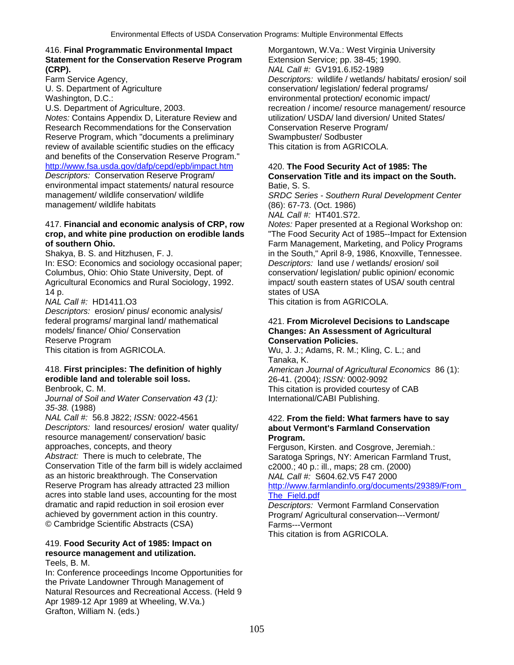## 416. **Final Programmatic Environmental Impact** Morgantown, W.Va.: West Virginia University **Statement for the Conservation Reserve Program** Extension Service; pp. 38-45; 1990. **(CRP).** *NAL Call #:* GV191.6.I52-1989

*Notes:* Contains Appendix D, Literature Review and utilization/ USDA/ land diversion/ United States/ Research Recommendations for the Conservation Conservation Reserve Program/ Reserve Program, which "documents a preliminary Swampbuster/ Sodbuster review of available scientific studies on the efficacy This citation is from AGRICOLA. and benefits of the Conservation Reserve Program." <http://www.fsa.usda.gov/dafp/cepd/epb/impact.htm> 420. **The Food Security Act of 1985: The** 

environmental impact statements/ natural resource Batie, S. S.<br>management/ wildlife conservation/ wildlife SRDC Serict management/ wildlife habitats (86): 67-73. (Oct. 1986)

## 417. **Financial and economic analysis of CRP, row** *Notes:* Paper presented at a Regional Workshop on: **crop, and white pine production on erodible lands** "The Food Security Act of 1985--Impact for Extension **of southern Ohio.** Farm Management, Marketing, and Policy Programs

In: ESO: Economics and sociology occasional paper; Columbus, Ohio: Ohio State University, Dept. of conservation/ legislation/ public opinion/ economic<br>
Agricultural Economics and Rural Sociology, 1992. impact/ south eastern states of USA/ south central Agricultural Economics and Rural Sociology, 1992. 14 p.

*Descriptors:* erosion/ pinus/ economic analysis/ models/ finance/ Ohio/ Conservation **Changes: An Assessment of Agricultural <br>
Reserve Program <b>Conservation Policies Conservation Policies Conservation Policies** Reserve Program **Conservation Policies.**<br>
This citation is from AGRICOLA. **CONSERVATION CONSERVATION CONSERVATION CONSERVATION** 

# **erodible land and tolerable soil loss.** 26-41. (2004); *ISSN:* 0002-9092

*Journal of Soil and Water Conservation 43 (1):* International/CABI Publishing. *35-38.* (1988)

*NAL Call #:* 56.8 J822; *ISSN:* 0022-4561 422. **From the field: What farmers have to say**  *Descriptors:* land resources/ erosion/ water quality/ **about Vermont's Farmland Conservation**  resource management/ conservation/ basic **Program.** 

Conservation Title of the farm bill is widely acclaimed c2000.; 40 p.: ill., maps; 28 cm. (2000) as an historic breakthrough. The Conservation *NAL Call #:* S604.62.V5 F47 2000<br>Reserve Program has already attracted 23 million http://www.farmlandinfo.org/docum acres into stable land uses, accounting for the most<br>dramatic and rapid reduction in soil erosion ever **The Field.pdf** dramatic and rapid reduction in soil erosion ever *Descriptors:* Vermont Farmland Conservation © Cambridge Scientific Abstracts (CSA) Farms---Vermont

## 419. **Food Security Act of 1985: Impact on resource management and utilization.** Teels, B. M.

In: Conference proceedings Income Opportunities for the Private Landowner Through Management of Natural Resources and Recreational Access. (Held 9 Apr 1989-12 Apr 1989 at Wheeling, W.Va.) Grafton, William N. (eds.)

Descriptors: wildlife / wetlands/ habitats/ erosion/ soil U. S. Department of Agriculture conservation/ legislation/ federal programs/ Washington, D.C.: environmental protection/ economic impact/ U.S. Department of Agriculture, 2003. The state of the recreation / income/ resource management/ resource

# **Conservation Title and its impact on the South.**

SRDC Series - Southern Rural Development Center

*NAL Call #:* HT401.S72.

Shakya, B. S. and Hitzhusen, F. J. in the South," April 8-9, 1986, Knoxville, Tennessee.<br>In: ESO: Economics and sociology occasional paper: Descriptors: land use / wetlands/ erosion/ soil

*NAL Call #:* HD1411.O3 This citation is from AGRICOLA.

# federal programs/ marginal land/ mathematical 421. **From Microlevel Decisions to Landscape**

Wu, J. J.; Adams, R. M.; Kling, C. L.; and Tanaka, K.

418. **First principles: The definition of highly** *American Journal of Agricultural Economics* 86 (1): Benbrook, C. M. This citation is provided courtesy of CAB

approaches, concepts, and theory Ferguson, Kirsten. and Cosgrove, Jeremiah.:<br>Abstract: There is much to celebrate, The Ferguson, Saratoga Springs. NY: American Farmland Tr Saratoga Springs, NY: American Farmland Trust, http://www.farmlandinfo.org/documents/29389/From

Program/ Agricultural conservation---Vermont/

This citation is from AGRICOLA.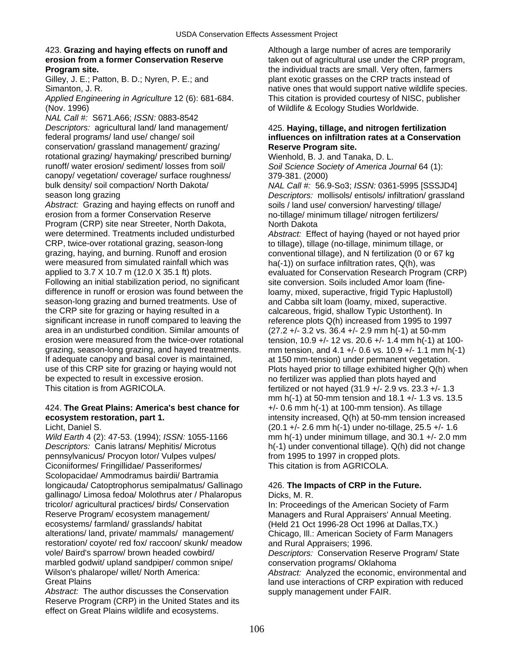# 423. **Grazing and haying effects on runoff and** Although a large number of acres are temporarily

(Nov. 1996) of Wildlife & Ecology Studies Worldwide.

*NAL Call #:* S671.A66; *ISSN:* 0883-8542 *Descriptors:* agricultural land/ land management/ 425. **Haying, tillage, and nitrogen fertilization**  conservation/ grassland management/ grazing/ **Reserve Program site.**  rotational grazing/ haymaking/ prescribed burning/ Wienhold, B. J. and Tanaka, D. L.<br>
runoff/water erosion/sediment/losses from soil/ Soil Science Society of America J canopy/ vegetation/ coverage/ surface roughness/ 379-381. (2000) bulk density/ soil compaction/ North Dakota/ *NAL Call #:* 56.9-So3; *ISSN:* 0361-5995 [SSSJD4]

Abstract: Grazing and haying effects on runoff and soils / land use/ conversion/ harvesting/ tillage/ erosion from a former Conservation Reserve no-tillage/ minimum tillage/ nitrogen fertilizers/ Program (CRP) site near Streeter, North Dakota, North Dakota were determined. Treatments included undisturbed *Abstract:* Effect of haying (hayed or not hayed prior CRP, twice-over rotational grazing, season-long to tillage), tillage (no-tillage, minimum tillage, or grazing, haying, and burning. Runoff and erosion conventional tillage), and N fertilization (0 or 67 kg were measured from simulated rainfall which was ha(-1)) on surface infiltration rates, Q(h), was Following an initial stabilization period, no significant site conversion. Soils included Amor loam (finedifference in runoff or erosion was found between the loamy, mixed, superactive, frigid Typic Haplustoll) season-long grazing and burned treatments. Use of and Cabba silt loam (loamy, mixed, superactive.<br>
the CRP site for grazing or having resulted in a calcareous, frigid, shallow Typic Ustorthent). In the CRP site for grazing or haying resulted in a calcareous, frigid, shallow Typic Ustorthent). In<br>significant increase in runoff compared to leaving the reference plots Q(h) increased from 1995 to 199 area in an undisturbed condition. Similar amounts of  $(27.2 +/- 3.2 \text{ vs. } 36.4 +/- 2.9 \text{ mm h}(-1)$  at 50-mm<br>erosion were measured from the twice-over rotational tension 10.9 +/- 12 vs. 20.6 +/- 1.4 mm h(-1) at grazing, season-long grazing, and hayed treatments. mm tension, and 4.1 +/- 0.6 vs. 10.9 +/- 1.1 mm h(-1) If adequate canopy and basal cover is maintained, at 150 mm-tension) under permanent vegetation. be expected to result in excessive erosion. The notion of fertilizer was applied than plots hayed and This citation is from AGRICOLA. **Fact in the feature of the fertilized or not hayed** (31.9 +/- 2.9 vs. 23.3 +/- 1.3

# 424. **The Great Plains: America's best chance for**  $+/-0.6$  mm h(-1) at 100-mm tension). As tillage

*Descriptors:* Canis latrans/ Mephitis/ Microtus h(-1) under conventional tillage). Q(h) did not change pennsylvanicus/ Procyon lotor/ Vulpes vulpes/ from 1995 to 1997 in cropped plots. Ciconiiformes/ Fringillidae/ Passeriformes/ This citation is from AGRICOLA. Scolopacidae/ Ammodramus bairdii/ Bartramia longicauda/ Catoptrophorus semipalmatus/ Gallinago 426. **The Impacts of CRP in the Future.** gallinago/ Limosa fedoa/ Molothrus ater / Phalaropus Dicks, M. R. tricolor/ agricultural practices/ birds/ Conservation In: Proceedings of the American Society of Farm Reserve Program/ ecosystem management/ Managers and Rural Appraisers' Annual Meeting.<br>
ecosystems/ farmland/ grasslands/ habitat (Held 21 Oct 1996-28 Oct 1996 at Dallas, TX.) alterations/ land, private/ mammals/ management/ Chicago, Ill.: American Society of Farm Managers restoration/ coyote/ red fox/ raccoon/ skunk/ meadow and Rural Appraisers; 1996. vole/ Baird's sparrow/ brown headed cowbird/ *Descriptors:* Conservation Reserve Program/ State marbled godwit/ upland sandpiper/ common snipe/ conservation programs/ Oklahoma Wilson's phalarope/ willet/ North America: *Abstract:* Analyzed the economic, environmental and<br>Great Plains and Use interactions of CRP expiration with reduced

Abstract: The author discusses the Conservation supply management under FAIR. Reserve Program (CRP) in the United States and its effect on Great Plains wildlife and ecosystems.

**erosion from a former Conservation Reserve** taken out of agricultural use under the CRP program, **Program site. Conserverse areas in the individual tracts are small. Very often, farmers** Gilley, J. E.; Patton, B. D.; Nyren, P. E.; and plant exotic grasses on the CRP tracts instead of Simanton, J. R. Native ones that would support native wildlife species. *Applied Engineering in Agriculture* 12 (6): 681-684. This citation is provided courtesy of NISC, publisher

# federal programs/ land use/ change/ soil **influences on infiltration rates at a Conservation**

Soil Science Society of America Journal 64 (1):

season long grazing *Descriptors:* mollisols/ entisols/ infiltration/ grassland

applied to 3.7 X 10.7 m (12.0 X 35.1 ft) plots. evaluated for Conservation Research Program (CRP) reference plots Q(h) increased from 1995 to 1997 tension, 10.9 +/- 12 vs. 20.6 +/- 1.4 mm h(-1) at 100use of this CRP site for grazing or haying would not Plots hayed prior to tillage exhibited higher Q(h) when mm h(-1) at 50-mm tension and 18.1 +/- 1.3 vs. 13.5 **ecosystem restoration, part 1.** intensity increased, Q(h) at 50-mm tension increased Licht, Daniel S. (20.1 +/- 2.6 mm h(-1) under no-tillage, 25.5 +/- 1.6 *Wild Earth* 4 (2): 47-53. (1994); *ISSN:* 1055-1166 mm h(-1) under minimum tillage, and 30.1 +/- 2.0 mm

(Held 21 Oct 1996-28 Oct 1996 at Dallas, TX.)

land use interactions of CRP expiration with reduced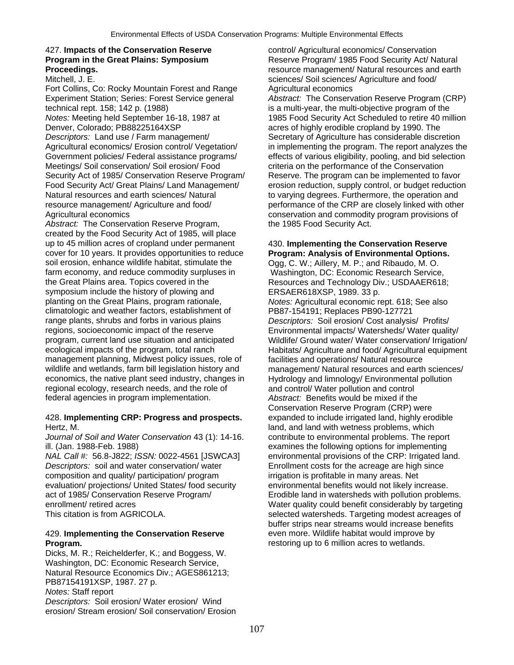Fort Collins, Co: Rocky Mountain Forest and Range Agricultural economics Experiment Station; Series: Forest Service general *Abstract:* The Conservation Reserve Program (CRP) technical rept. 158; 142 p. (1988) is a multi-year, the multi-objective program of the *Notes:* Meeting held September 16-18, 1987 at 1985 Food Security Act Scheduled to retire 40 million Denver, Colorado; PB88225164XSP acres of highly erodible cropland by 1990. The **Descriptors:** Land use / Farm management/ Secretary of Agriculture has considerable discretion Government policies/ Federal assistance programs/ effects of various eligibility, pooling, and bid selection Meetings/ Soil conservation/ Soil erosion/ Food criteria on the performance of the Conservation Security Act of 1985/ Conservation Reserve Program/<br>
Food Security Act/ Great Plains/ Land Management/
recosion reduction, supply control, or budget reduction Natural resources and earth sciences/ Natural to varying degrees. Furthermore, the operation and resource management/ Agriculture and food/ performance of the CRP are closely linked with other Agricultural economics conservation and commodity program provisions of

Abstract: The Conservation Reserve Program, the 1985 Food Security Act. created by the Food Security Act of 1985, will place up to 45 million acres of cropland under permanent 430. **Implementing the Conservation Reserve**  cover for 10 years. It provides opportunities to reduce **Program: Analysis of Environmental Options.**  soil erosion, enhance wildlife habitat, stimulate the farm economy, and reduce commodity surpluses in Washington, DC: Economic Research Service,<br>the Great Plains area. Topics covered in the Resources and Technology Div.: USDAAER618 symposium include the history of plowing and ERSAER618XSP, 1989. 33 p. planting on the Great Plains, program rationale, *Notes:* Agricultural economic rept. 618; See also climatologic and weather factors, establishment of PB87-154191; Replaces PB90-127721 range plants, shrubs and forbs in various plains *Descriptors:* Soil erosion/ Cost analysis/ Profits/ regions, socioeconomic impact of the reserve **Environmental impacts/ Watersheds/ Water quality/**<br>
program, current land use situation and anticipated Wildlife/ Ground water/ Water conservation/ Irrigation ecological impacts of the program, total ranch Habitats/ Agriculture and food/ Agricultural equipment management planning, Midwest policy issues, role of facilities and operations/ Natural resource<br>wildlife and wetlands, farm bill legislation history and management/ Natural resources and earth economics, the native plant seed industry, changes in Hydrology and limnology/ Environmental pollution regional ecology, research needs, and the role of and control/ Water pollution and control<br>federal agencies in program implementation. Abstract: Benefits would be mixed if the federal agencies in program implementation.

## 428. **Implementing CRP: Progress and prospects.** expanded to include irrigated land, highly erodible Hertz, M. land, and land with wetness problems, which

*Journal of Soil and Water Conservation* 43 (1): 14-16. contribute to environmental problems. The report ill. (Jan. 1988-Feb. 1988) examines the following options for implementing

*Descriptors:* soil and water conservation/ water Enrollment costs for the acreage are high since composition and quality/ participation/ program irrigation is profitable in many areas. Net evaluation/ projections/ United States/ food security environmental benefits would not likely increase. act of 1985/ Conservation Reserve Program/ Erodible land in watersheds with pollution problems. This citation is from AGRICOLA. Selected watersheds. Targeting modest acreages of

## 429. **Implementing the Conservation Reserve** even more. Wildlife habitat would improve by **Program. Program. restoring up to 6 million acres to wetlands.**

Dicks, M. R.; Reichelderfer, K.; and Boggess, W. Washington, DC: Economic Research Service, Natural Resource Economics Div.; AGES861213; PB87154191XSP, 1987. 27 p. *Notes:* Staff report

*Descriptors:* Soil erosion/ Water erosion/ Wind erosion/ Stream erosion/ Soil conservation/ Erosion

427. **Impacts of the Conservation Reserve** control/ Agricultural economics/ Conservation **Program in the Great Plains: Symposium <b>Reserve Program** / 1985 Food Security Act / Natural **Proceedings.**<br> **Proceedings.**<br>
Mitchell, J. E. **resource management/ Natural resources and earth<br>
sciences/ Soil sciences/ Agriculture and food/** sciences/ Soil sciences/ Agriculture and food/

Agricultural economics/ Erosion control/ Vegetation/ in implementing the program. The report analyzes the erosion reduction, supply control, or budget reduction

Resources and Technology Div.; USDAAER618; Wildlife/ Ground water/ Water conservation/ Irrigation/ management/ Natural resources and earth sciences/ Conservation Reserve Program (CRP) were *NAL Call #:* 56.8-J822; *ISSN:* 0022-4561 [JSWCA3] environmental provisions of the CRP: Irrigated land. enrollment/ retired acres Water quality could benefit considerably by targeting buffer strips near streams would increase benefits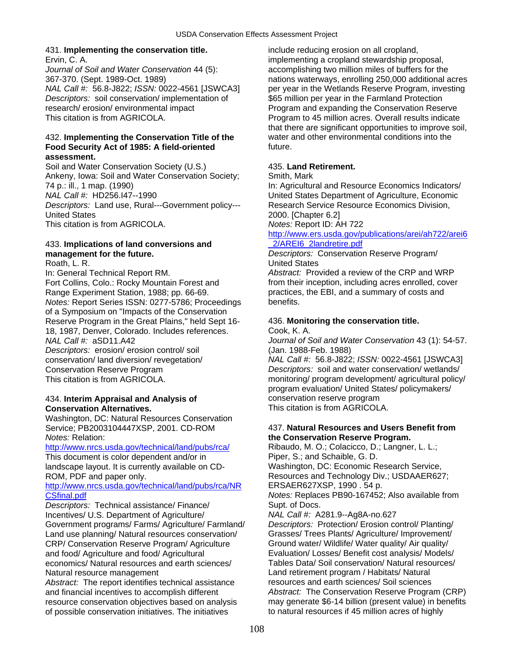## 431. **Implementing the conservation title.** include reducing erosion on all cropland,

Ervin, C. A. implementing a cropland stewardship proposal, *Journal of Soil and Water Conservation* 44 (5): accomplishing two million miles of buffers for the *Descriptors:* soil conservation/ implementation of \$65 million per year in the Farmland Protection research/ erosion/ environmental impact Program and expanding the Conservation Reserve This citation is from AGRICOLA. **Program to 45 million acres. Overall results indicate** 

## **Food Security Act of 1985: A field-oriented** future. **assessment.**

Soil and Water Conservation Society (U.S.) 435. **Land Retirement.**  Ankeny, Iowa: Soil and Water Conservation Society; Smith, Mark 74 p.: ill., 1 map. (1990) In: Agricultural and Resource Economics Indicators/ *NAL Call #:* HD256.I47--1990 United States Department of Agriculture, Economic *Descriptors:* Land use, Rural---Government policy--- Research Service Resource Economics Division, United States 2000. [Chapter 6.2] This citation is from AGRICOLA. *Notes:* Report ID: AH 722

# 433. **Implications of land conversions and** [\\_2/AREI6\\_2landretire.pdf](http://www.ers.usda.gov/publications/arei/ah722/arei6_2/AREI6_2landretire.pdf)

Fort Collins, Colo.: Rocky Mountain Forest and from their inception, including acres enrolled, cover Range Experiment Station, 1988; pp. 66-69. entitled a summary of costs and a summary of costs and *Notes:* Report Series ISSN: 0277-5786; Proceedings benefits. of a Symposium on "Impacts of the Conservation Reserve Program in the Great Plains," held Sept 16- 436. **Monitoring the conservation title.**  18, 1987, Denver, Colorado. Includes references. Cook, K. A.

*Descriptors:* erosion/ erosion control/ soil (Jan. 1988-Feb. 1988)

## 434. **Interim Appraisal and Analysis of** conservation reserve program **Conservation Alternatives.**

Washington, DC: Natural Resources Conservation Service; PB2003104447XSP, 2001. CD-ROM 437. **Natural Resources and Users Benefit from**  *Notes:* Relation: **the Conservation Reserve Program.** 

## <http://www.nrcs.usda.gov/technical/land/pubs/rca/> Ribaudo, M. O.; Colacicco, D.; Langner, L. L.;

This document is color dependent and/or in Piper, S.; and Schaible, G. D.<br>
landscape layout. It is currently available on CD-<br>
Washington, DC: Economic Research Service, landscape layout. It is currently available on CD-

## [http://www.nrcs.usda.gov/technical/land/pubs/rca/NR](http://www.nrcs.usda.gov/technical/land/pubs/rca/NRCSfinal.pdf) ERSAER627XSP, 1990 . 54 p. [CSfinal.pdf](http://www.nrcs.usda.gov/technical/land/pubs/rca/NRCSfinal.pdf) *Notes:* Replaces PB90-167452; Also available from

**Descriptors:** Technical assistance/ Finance/ Supt. of Docs. Incentives/ U.S. Department of Agriculture/ *NAL Call #:* A281.9--Ag8A-no.627 Government programs/ Farms/ Agriculture/ Farmland/ *Descriptors:* Protection/ Erosion control/ Planting/ Land use planning/ Natural resources conservation/ Grasses/ Trees Plants/ Agriculture/ Improvement/ CRP/ Conservation Reserve Program/ Agriculture Ground water/ Wildlife/ Water quality/ Air quality/ and food/ Agriculture and food/ Agricultural Evaluation/ Losses/ Benefit cost analysis/ Models/ economics/ Natural resources and earth sciences/ Tables Data/ Soil conservation/ Natural resources/ Natural resource management Land retirement program / Habitats/ Natural

*Abstract:* The report identifies technical assistance resources and earth sciences/ Soil sciences of possible conservation initiatives. The initiatives to natural resources if 45 million acres of highly

367-370. (Sept. 1989-Oct. 1989) nations waterways, enrolling 250,000 additional acres *NAL Call #:* 56.8-J822; *ISSN:* 0022-4561 [JSWCA3] per year in the Wetlands Reserve Program, investing that there are significant opportunities to improve soil, 432. **Implementing the Conservation Title of the** water and other environmental conditions into the

# [http://www.ers.usda.gov/publications/arei/ah722/arei6](http://www.ers.usda.gov/publications/arei/ah722/arei6_2/AREI6_2landretire.pdf)

## **management for the future.** *Descriptors:* Conservation Reserve Program/ Roath, L. R. **New York Contract Contract Contract Contract Contract Contract Contract Contract Contract Contract Contract Contract Contract Contract Contract Contract Contract Contract Contract Contract Contract Contract C**

In: General Technical Report RM. *Abstract:* Provided a review of the CRP and WRP

*NAL Call #:* aSD11.A42 *Journal of Soil and Water Conservation* 43 (1): 54-57.

conservation/ land diversion/ revegetation/ *NAL Call #:* 56.8-J822; *ISSN:* 0022-4561 [JSWCA3] Conservation Reserve Program *Descriptors:* soil and water conservation/ wetlands/ This citation is from AGRICOLA. This citation is from AGRICOLA. This citation is from AGRICOLA. program evaluation/ United States/ policymakers/

ROM, PDF and paper only. Resources and Technology Div.; USDAAER627;

and financial incentives to accomplish different *Abstract:* The Conservation Reserve Program (CRP) resource conservation objectives based on analysis may generate \$6-14 billion (present value) in benefits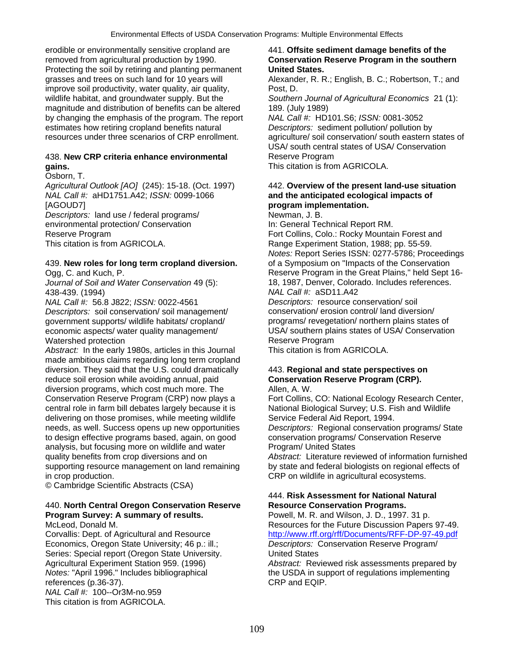erodible or environmentally sensitive cropland are 441. **Offsite sediment damage benefits of the**  removed from agricultural production by 1990. **Conservation Reserve Program in the southern**  Protecting the soil by retiring and planting permanent **United States.**  grasses and trees on such land for 10 years will Alexander, R. R.; English, B. C.; Robertson, T.; and improve soil productivity, water quality, air quality, Post, D. wildlife habitat, and groundwater supply. But the *Southern Journal of Agricultural Economics* 21 (1): magnitude and distribution of benefits can be altered 189. (July 1989) by changing the emphasis of the program. The report *NAL Call #:* HD101.S6; *ISSN:* 0081-3052 estimates how retiring cropland benefits natural *Descriptors:* sediment pollution/ pollution by<br>
resources under three scenarios of CRP enrollment. agriculture/ soil conservation/ south eastern s

## 438. **New CRP criteria enhance environmental** Reserve Program **gains.** This citation is from AGRICOLA.

## Osborn, T.

*Agricultural Outlook [AO]* (245): 15-18. (Oct. 1997) 442. **Overview of the present land-use situation**  *NAL Call #:* aHD1751.A42; *ISSN:* 0099-1066 **and the anticipated ecological impacts of**  [AGOUD7] **program implementation.** 

*Descriptors:* land use / federal programs/ Newman, J. B. environmental protection/ Conservation In: General Technical Report RM.

## 439. **New roles for long term cropland diversion.** of a Symposium on "Impacts of the Conservation

Journal of Soil and Water Conservation 49 (5): 438-439. (1994) *NAL Call #:* aSD11.A42

*NAL Call #:* 56.8 J822; *ISSN:* 0022-4561 *Descriptors:* resource conservation/ soil *Descriptors:* soil conservation/ soil management/ conservation/ erosion control/ land diversion/ government supports/ wildlife habitats/ cropland/ programs/ revegetation/ northern plains states of Watershed protection<br>Abstract: In the early 1980s, articles in this Journal This citation is from AGRICOLA.

*Abstract:* In the early 1980s, articles in this Journal made ambitious claims regarding long term cropland diversion. They said that the U.S. could dramatically 443. **Regional and state perspectives on**  reduce soil erosion while avoiding annual, paid **Conservation Reserve Program (CRP).**  diversion programs, which cost much more. The Allen, A. W. Conservation Reserve Program (CRP) now plays a Fort Collins, CO: National Ecology Research Center, central role in farm bill debates largely because it is National Biological Survey; U.S. Fish and Wildlife delivering on those promises, while meeting wildlife Service Federal Aid Report, 1994. needs, as well. Success opens up new opportunities *Descriptors:* Regional conservation programs/ State to design effective programs based, again, on good conservation programs/ Conservation Reserve analysis, but focusing more on wildlife and water Program/ United States supporting resource management on land remaining by state and federal biologists on regional effects of in crop production. CRP on wildlife in agricultural ecosystems.

© Cambridge Scientific Abstracts (CSA)

## 440. **North Central Oregon Conservation Reserve Resource Conservation Programs. Program Survey: A summary of results.** Powell, M. R. and Wilson, J. D., 1997. 31 p.

Economics, Oregon State University; 46 p.: ill.; *Descriptors:* Conservation Reserve Program/ Series: Special report (Oregon State University. United States references (p.36-37). CRP and EQIP. *NAL Call #:* 100--Or3M-no.959 This citation is from AGRICOLA.

agriculture/ soil conservation/ south eastern states of USA/ south central states of USA/ Conservation

Reserve Program **Fort Collins**, Colo.: Rocky Mountain Forest and This citation is from AGRICOLA. This citation, 1988; pp. 55-59. *Notes:* Report Series ISSN: 0277-5786; Proceedings Ogg, C. and Kuch, P. Canter Conservation 49 (5):<br>
Journal of Soil and Water Conservation 49 (5): 18, 1987, Denver, Colorado. Includes references.

economic aspects/ water quality management/ USA/ southern plains states of USA/ Conservation

quality benefits from crop diversions and on *Abstract:* Literature reviewed of information furnished

# 444. **Risk Assessment for National Natural**

McLeod, Donald M. Resources for the Future Discussion Papers 97-49. Corvallis: Dept. of Agricultural and Resource <http://www.rff.org/rff/Documents/RFF-DP-97-49.pdf>

Agricultural Experiment Station 959. (1996) *Abstract:* Reviewed risk assessments prepared by *Notes:* "April 1996." Includes bibliographical the USDA in support of regulations implementing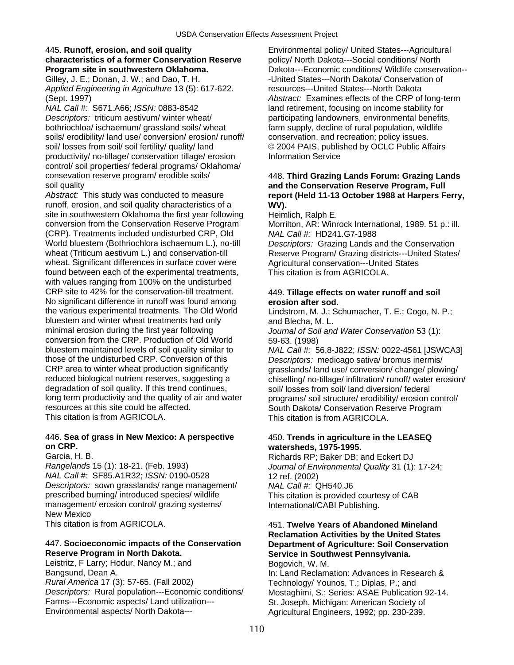## 445. **Runoff, erosion, and soil quality** Environmental policy/ United States---Agricultural **characteristics of a former Conservation Reserve** policy/ North Dakota---Social conditions/ North

Gilley, J. E.; Donan, J. W.; and Dao, T. H. *Applied Engineering in Agriculture* 13 (5): 617-622. resources---United States---North Dakota

*NAL Call #:* S671.A66; *ISSN:* 0883-8542 land retirement, focusing on income stability for **Descriptors:** triticum aestivum/ winter wheat/ participating landowners, environmental benefits, bothriochloa/ ischaemum/ grassland soils/ wheat farm supply, decline of rural population, wildlife soils/ erodibility/ land use/ conversion/ erosion/ runoff/ conservation, and recreation; policy issues. soil/ losses from soil/ soil fertility/ quality/ land  $\degree$  2004 PAIS, published by OCLC Public Affairs productivity/ no-tillage/ conservation tillage/ erosion Information Service control/ soil properties/ federal programs/ Oklahoma/ consevation reserve program/ erodible soils/ 448. **Third Grazing Lands Forum: Grazing Lands** 

runoff, erosion, and soil quality characteristics of a **WV).**  site in southwestern Oklahoma the first year following Heimlich, Ralph E. conversion from the Conservation Reserve Program Morrilton, AR: Winrock International, 1989. 51 p.: ill. (CRP). Treatments included undisturbed CRP, Old *NAL Call #:* HD241.G7-1988 World bluestem (Bothriochlora ischaemum L.), no-till *Descriptors:* Grazing Lands and the Conservation wheat (Triticum aestivum L.) and conservation-till Reserve Program/ Grazing districts---United States/<br>wheat. Significant differences in surface cover were Agricultural conservation---United States wheat. Significant differences in surface cover were found between each of the experimental treatments, This citation is from AGRICOLA. with values ranging from 100% on the undisturbed CRP site to 42% for the conservation-till treatment. 449. **Tillage effects on water runoff and soil**  No significant difference in runoff was found among **erosion after sod.**<br>
the various experimental treatments. The Old World Lindstrom. M. J.: So bluestem and winter wheat treatments had only and Blecha, M. L. minimal erosion during the first year following *Journal of Soil and Water Conservation* 53 (1): conversion from the CRP. Production of Old World 59-63. (1998)<br>bluestem maintained levels of soil quality similar to NAL Call #: 5 bluestem maintained levels of soil quality similar to *NAL Call #:* 56.8-J822; *ISSN:* 0022-4561 [JSWCA3] those of the undisturbed CRP. Conversion of this *Descriptors:* medicago sativa/ bromus inermis/<br>CRP area to winter wheat production significantly *grasslands/ land use/ conversion/ change/ plow* CRP area to winter wheat production significantly example areaslands/ land use/ conversion/ change/ plowing/ reduced biological nutrient reserves, suggesting a chiselling/ no-tillage/ infiltration/ runoff/ water erosion degradation of soil quality. If this trend continues, soil/ losses from soil/ land diversion/ federal<br>long term productivity and the quality of air and water programs/ soil structure/ erodibility/ erosion long term productivity and the quality of air and water programs/ soil structure/ erodibility/ erosion control/<br>
South Dakota/ Conservation Reserve Program resources at this site could be affected.<br>This citation is from AGRICOLA. This citation is from AGRICOLA

## 446. **Sea of grass in New Mexico: A perspective** 450. **Trends in agriculture in the LEASEQ on CRP. watersheds, 1975-1995.**

*NAL Call #: SF85.A1R32; <i>ISSN:* 0190-0528 12 ref. (2002) *Descriptors:* sown grasslands/ range management/ *NAL Call #:* QH540.J6 prescribed burning/ introduced species/ wildlife This citation is provided courtesy of CAB management/ erosion control/ grazing systems/ **International/CABI Publishing.** New Mexico

## 447. **Socioeconomic impacts of the Conservation Department of Agriculture: Soil Conservation**

Leistritz, F Larry; Hodur, Nancy M.; and Bogovich, W. M. Bangsund, Dean A. *Rural America* 17 (3): 57-65. (Fall 2002) Technology/ Younos, T.; Diplas, P.; and *Descriptors:* Rural population---Economic conditions/ Mostaghimi, S.; Series: ASAE Publication 92-14. Farms---Economic aspects/ Land utilization--- St. Joseph, Michigan: American Society of<br>Environmental aspects/ North Dakota--- Americal Lagricultural Engineers, 1992: pp. 230-239.

**Program site in southwestern Oklahoma. Dakota---Economic conditions/ Wildlife conservation--**<br>Gilley, J. E.: Donan, J. W.: and Dao. T. H. **Charles Active States---North Dakota/ Conservation of** (Sept. 1997) *Abstract:* Examines effects of the CRP of long-term

## soil quality **and the Conservation Reserve Program, Full**  report (Held 11-13 October 1988 at Harpers Ferry,

Lindstrom, M. J.; Schumacher, T. E.; Cogo, N. P.;

chiselling/ no-tillage/ infiltration/ runoff/ water erosion/ This citation is from AGRICOLA.

Garcia, H. B.<br>Richards RP; Baker DB; and Eckert DJ<br>*Rangelands* 15 (1): 18-21. (Feb. 1993) *Journal of Environmental Quality* 31 (1): Journal of Environmental Quality 31 (1): 17-24;

## This citation is from AGRICOLA. 451. **Twelve Years of Abandoned Mineland Reclamation Activities by the United States Service in Southwest Pennsylvania.**

In: Land Reclamation: Advances in Research & Agricultural Engineers, 1992; pp. 230-239.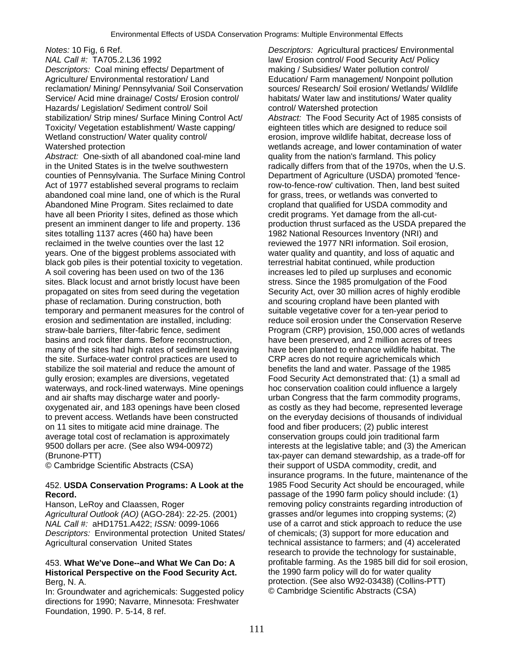*NAL Call #:* TA705.2.L36 1992 law/ Erosion control/ Food Security Act/ Policy<br>Descriptors: Coal mining effects/ Department of making / Subsidies/ Water pollution control/ *Descriptors: Coal mining effects/ Department of* Agriculture/ Environmental restoration/ Land Education/ Farm management/ Nonpoint pollution reclamation/ Mining/ Pennsylvania/ Soil Conservation sources/ Research/ Soil erosion/ Wetlands/ Wildlife Service/ Acid mine drainage/ Costs/ Erosion control/ habitats/ Water law and institutions/ Water quality<br>Hazards/ Legislation/ Sediment control/ Soil control/ Watershed protection Hazards/ Legislation/ Sediment control/ Soil stabilization/ Strip mines/ Surface Mining Control Act/ *Abstract:* The Food Security Act of 1985 consists of Toxicity/ Vegetation establishment/ Waste capping/ eighteen titles which are designed to reduce soil Wetland construction/ Water quality control/ errosion, improve wildlife habitat, decrease loss of

Abstract: One-sixth of all abandoned coal-mine land quality from the nation's farmland. This policy in the United States is in the twelve southwestern radically differs from that of the 1970s, when the U.S. counties of Pennsylvania. The Surface Mining Control Department of Agriculture (USDA) promoted 'fence-Act of 1977 established several programs to reclaim row-to-fence-row' cultivation. Then, land best suited abandoned coal mine land, one of which is the Rural for grass, trees, or wetlands was converted to Abandoned Mine Program. Sites reclaimed to date cropland that qualified for USDA commodity and have all been Priority I sites, defined as those which credit programs. Yet damage from the all-cutpresent an imminent danger to life and property. 136 production thrust surfaced as the USDA prepared the sites totalling 1137 acres (460 ha) have been 1982 National Resources Inventory (NRI) and reclaimed in the twelve counties over the last 12 reviewed the 1977 NRI information. Soil erosion, years. One of the biggest problems associated with water quality and quantity, and loss of aquatic and black gob piles is their potential toxicity to vegetation. terrestrial habitat continued, while production A soil covering has been used on two of the 136 increases led to piled up surpluses and economic sites. Black locust and arnot bristly locust have been stress. Since the 1985 promulgation of the Food propagated on sites from seed during the vegetation Security Act, over 30 million acres of highly erodible phase of reclamation. During construction, both and scouring cropland have been planted with temporary and permanent measures for the control of suitable vegetative cover for a ten-year period to erosion and sedimentation are installed, including: reduce soil erosion under the Conservation Reserve straw-bale barriers, filter-fabric fence, sediment Program (CRP) provision, 150,000 acres of wetlands basins and rock filter dams. Before reconstruction, have been preserved, and 2 million acres of trees many of the sites had high rates of sediment leaving have been planted to enhance wildlife habitat. The the site. Surface-water control practices are used to CRP acres do not require agrichemicals which stabilize the soil material and reduce the amount of benefits the land and water. Passage of the 1985 gully erosion; examples are diversions, vegetated Food Security Act demonstrated that: (1) a small ad waterways, and rock-lined waterways. Mine openings hoc conservation coalition could influence a largely and air shafts may discharge water and poorly- urban Congress that the farm commodity programs, oxygenated air, and 183 openings have been closed as costly as they had become, represented leverage to prevent access. Wetlands have been constructed on the everyday decisions of thousands of individual on 11 sites to mitigate acid mine drainage. The food and fiber producers; (2) public interest average total cost of reclamation is approximately conservation groups could join traditional farm 9500 dollars per acre. (See also W94-00972) interests at the legislative table; and (3) the American (Brunone-PTT) tax-payer can demand stewardship, as a trade-off for

## 452. **USDA Conservation Programs: A Look at the** 1985 Food Security Act should be encouraged, while **Record. Record. passage of the 1990 farm policy should include: (1)**

*Agricultural Outlook (AO)* (AGO-284): 22-25. (2001) *NAL Call #:* aHD1751.A422; *ISSN:* 0099-1066 use of a carrot and stick approach to reduce the use *Descriptors:* Environmental protection United States/ of chemicals; (3) support for more education and Agricultural conservation United States technical assistance to farmers; and (4) accelerated

# **Historical Perspective on the Food Security Act.** the 1990 farm policy will do for water quality

In: Groundwater and agrichemicals: Suggested policy directions for 1990; Navarre, Minnesota: Freshwater Foundation, 1990. P. 5-14, 8 ref.

*Notes:* 10 Fig, 6 Ref. *Descriptors:* Agricultural practices/ Environmental Watershed protection wetlands acreage, and lower contamination of water © Cambridge Scientific Abstracts (CSA) their support of USDA commodity, credit, and insurance programs. In the future, maintenance of the Hanson, LeRoy and Claassen, Roger removing policy constraints regarding introduction of Hanson, LeRoy and Claassen, Roger removing policy constraints regarding introduction of Agricultural Outlook (AO) (AGO-284): 22-25. (2 research to provide the technology for sustainable, 453. **What We've Done--and What We Can Do: A** profitable farming. As the 1985 bill did for soil erosion, Berg, N. A. collins-PTT)<br>In: Groundwater and agrichemicals: Suggested policy <br>
© Cambridge Scientific Abstracts (CSA)